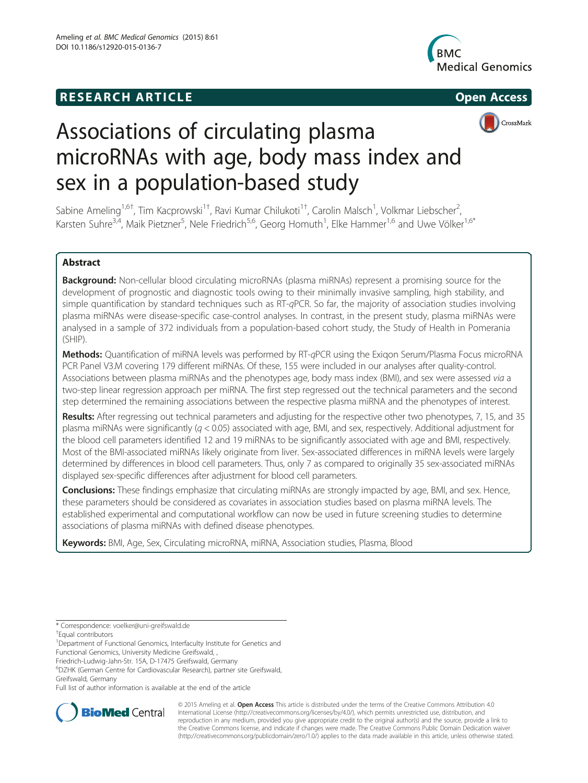## **RESEARCH ARTICLE Example 2014 12:30 The SEAR CHA RESEARCH ARTICLE**







# Associations of circulating plasma microRNAs with age, body mass index and sex in a population-based study

Sabine Ameling<sup>1,6†</sup>, Tim Kacprowski<sup>1†</sup>, Ravi Kumar Chilukoti<sup>1†</sup>, Carolin Malsch<sup>1</sup>, Volkmar Liebscher<sup>2</sup> , Karsten Suhre<sup>3,4</sup>, Maik Pietzner<sup>5</sup>, Nele Friedrich<sup>5,6</sup>, Georg Homuth<sup>1</sup>, Elke Hammer<sup>1,6</sup> and Uwe Völker<sup>1,6\*</sup>

## Abstract

**Background:** Non-cellular blood circulating microRNAs (plasma miRNAs) represent a promising source for the development of prognostic and diagnostic tools owing to their minimally invasive sampling, high stability, and simple quantification by standard techniques such as RT-qPCR. So far, the majority of association studies involving plasma miRNAs were disease-specific case-control analyses. In contrast, in the present study, plasma miRNAs were analysed in a sample of 372 individuals from a population-based cohort study, the Study of Health in Pomerania (SHIP).

Methods: Quantification of miRNA levels was performed by RT-qPCR using the Exigon Serum/Plasma Focus microRNA PCR Panel V3.M covering 179 different miRNAs. Of these, 155 were included in our analyses after quality-control. Associations between plasma miRNAs and the phenotypes age, body mass index (BMI), and sex were assessed via a two-step linear regression approach per miRNA. The first step regressed out the technical parameters and the second step determined the remaining associations between the respective plasma miRNA and the phenotypes of interest.

Results: After regressing out technical parameters and adjusting for the respective other two phenotypes, 7, 15, and 35 plasma miRNAs were significantly  $(q < 0.05)$  associated with age, BMI, and sex, respectively. Additional adjustment for the blood cell parameters identified 12 and 19 miRNAs to be significantly associated with age and BMI, respectively. Most of the BMI-associated miRNAs likely originate from liver. Sex-associated differences in miRNA levels were largely determined by differences in blood cell parameters. Thus, only 7 as compared to originally 35 sex-associated miRNAs displayed sex-specific differences after adjustment for blood cell parameters.

**Conclusions:** These findings emphasize that circulating miRNAs are strongly impacted by age, BMI, and sex. Hence, these parameters should be considered as covariates in association studies based on plasma miRNA levels. The established experimental and computational workflow can now be used in future screening studies to determine associations of plasma miRNAs with defined disease phenotypes.

Keywords: BMI, Age, Sex, Circulating microRNA, miRNA, Association studies, Plasma, Blood

\* Correspondence: [voelker@uni-greifswald.de](mailto:voelker@uni-greifswald.de) †

Equal contributors

<sup>1</sup>Department of Functional Genomics, Interfaculty Institute for Genetics and

Functional Genomics, University Medicine Greifswald, , Friedrich-Ludwig-Jahn-Str. 15A, D-17475 Greifswald, Germany

6 DZHK (German Centre for Cardiovascular Research), partner site Greifswald,

Greifswald, Germany

Full list of author information is available at the end of the article



© 2015 Ameling et al. Open Access This article is distributed under the terms of the Creative Commons Attribution 4.0 International License [\(http://creativecommons.org/licenses/by/4.0/](http://creativecommons.org/licenses/by/4.0/)), which permits unrestricted use, distribution, and reproduction in any medium, provided you give appropriate credit to the original author(s) and the source, provide a link to the Creative Commons license, and indicate if changes were made. The Creative Commons Public Domain Dedication waiver [\(http://creativecommons.org/publicdomain/zero/1.0/](http://creativecommons.org/publicdomain/zero/1.0/)) applies to the data made available in this article, unless otherwise stated.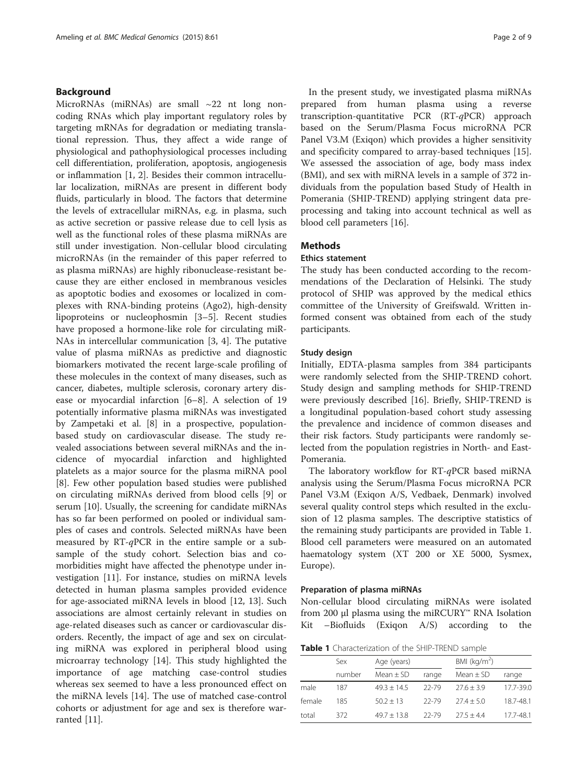## <span id="page-1-0"></span>Background

MicroRNAs (miRNAs) are small ~22 nt long noncoding RNAs which play important regulatory roles by targeting mRNAs for degradation or mediating translational repression. Thus, they affect a wide range of physiological and pathophysiological processes including cell differentiation, proliferation, apoptosis, angiogenesis or inflammation [[1, 2\]](#page-7-0). Besides their common intracellular localization, miRNAs are present in different body fluids, particularly in blood. The factors that determine the levels of extracellular miRNAs, e.g. in plasma, such as active secretion or passive release due to cell lysis as well as the functional roles of these plasma miRNAs are still under investigation. Non-cellular blood circulating microRNAs (in the remainder of this paper referred to as plasma miRNAs) are highly ribonuclease-resistant because they are either enclosed in membranous vesicles as apoptotic bodies and exosomes or localized in complexes with RNA-binding proteins (Ago2), high-density lipoproteins or nucleophosmin [\[3](#page-7-0)–[5\]](#page-7-0). Recent studies have proposed a hormone-like role for circulating miR-NAs in intercellular communication [[3, 4](#page-7-0)]. The putative value of plasma miRNAs as predictive and diagnostic biomarkers motivated the recent large-scale profiling of these molecules in the context of many diseases, such as cancer, diabetes, multiple sclerosis, coronary artery disease or myocardial infarction [\[6](#page-7-0)–[8](#page-7-0)]. A selection of 19 potentially informative plasma miRNAs was investigated by Zampetaki et al. [[8\]](#page-7-0) in a prospective, populationbased study on cardiovascular disease. The study revealed associations between several miRNAs and the incidence of myocardial infarction and highlighted platelets as a major source for the plasma miRNA pool [[8\]](#page-7-0). Few other population based studies were published on circulating miRNAs derived from blood cells [\[9](#page-7-0)] or serum [\[10\]](#page-7-0). Usually, the screening for candidate miRNAs has so far been performed on pooled or individual samples of cases and controls. Selected miRNAs have been measured by RT-qPCR in the entire sample or a subsample of the study cohort. Selection bias and comorbidities might have affected the phenotype under investigation [[11\]](#page-7-0). For instance, studies on miRNA levels detected in human plasma samples provided evidence for age-associated miRNA levels in blood [\[12, 13\]](#page-7-0). Such associations are almost certainly relevant in studies on age-related diseases such as cancer or cardiovascular disorders. Recently, the impact of age and sex on circulating miRNA was explored in peripheral blood using microarray technology [\[14](#page-7-0)]. This study highlighted the importance of age matching case-control studies whereas sex seemed to have a less pronounced effect on the miRNA levels [\[14\]](#page-7-0). The use of matched case-control cohorts or adjustment for age and sex is therefore warranted [\[11\]](#page-7-0).

In the present study, we investigated plasma miRNAs prepared from human plasma using a reverse transcription-quantitative PCR  $(RT-qPCR)$  approach based on the Serum/Plasma Focus microRNA PCR Panel V3.M (Exiqon) which provides a higher sensitivity and specificity compared to array-based techniques [\[15](#page-7-0)]. We assessed the association of age, body mass index (BMI), and sex with miRNA levels in a sample of 372 individuals from the population based Study of Health in Pomerania (SHIP-TREND) applying stringent data preprocessing and taking into account technical as well as blood cell parameters [\[16\]](#page-7-0).

## **Methods**

#### Ethics statement

The study has been conducted according to the recommendations of the Declaration of Helsinki. The study protocol of SHIP was approved by the medical ethics committee of the University of Greifswald. Written informed consent was obtained from each of the study participants.

#### Study design

Initially, EDTA-plasma samples from 384 participants were randomly selected from the SHIP-TREND cohort. Study design and sampling methods for SHIP-TREND were previously described [[16](#page-7-0)]. Briefly, SHIP-TREND is a longitudinal population-based cohort study assessing the prevalence and incidence of common diseases and their risk factors. Study participants were randomly selected from the population registries in North- and East-Pomerania.

The laboratory workflow for RT-qPCR based miRNA analysis using the Serum/Plasma Focus microRNA PCR Panel V3.M (Exiqon A/S, Vedbaek, Denmark) involved several quality control steps which resulted in the exclusion of 12 plasma samples. The descriptive statistics of the remaining study participants are provided in Table 1. Blood cell parameters were measured on an automated haematology system (XT 200 or XE 5000, Sysmex, Europe).

#### Preparation of plasma miRNAs

Non-cellular blood circulating miRNAs were isolated from 200 μl plasma using the miRCURY™ RNA Isolation Kit –Biofluids (Exiqon A/S) according to the

Table 1 Characterization of the SHIP-TREND sample

|        | Sex    | Age (years)   |       | BMI ( $kg/m2$ ) |           |  |  |
|--------|--------|---------------|-------|-----------------|-----------|--|--|
|        | number | Mean $\pm$ SD | range | Mean $\pm$ SD   | range     |  |  |
| male   | 187    | $49.3 + 14.5$ | 22-79 | $27.6 + 3.9$    | 17.7-39.0 |  |  |
| female | 185    | $50.2 + 13$   | 22-79 | $77.4 + 5.0$    | 18.7-48.1 |  |  |
| total  | 372    | $49.7 + 13.8$ | 22-79 | $27.5 + 4.4$    | 17.7-48.1 |  |  |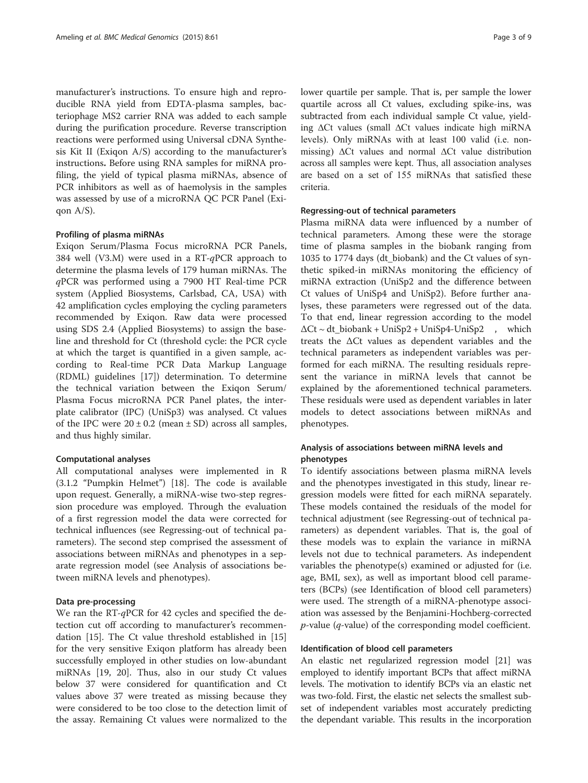manufacturer's instructions. To ensure high and reproducible RNA yield from EDTA-plasma samples, bacteriophage MS2 carrier RNA was added to each sample during the purification procedure. Reverse transcription reactions were performed using Universal cDNA Synthesis Kit II (Exiqon A/S) according to the manufacturer's instructions. Before using RNA samples for miRNA profiling, the yield of typical plasma miRNAs, absence of PCR inhibitors as well as of haemolysis in the samples was assessed by use of a microRNA QC PCR Panel (Exiqon A/S).

#### Profiling of plasma miRNAs

Exiqon Serum/Plasma Focus microRNA PCR Panels, 384 well (V3.M) were used in a RT-qPCR approach to determine the plasma levels of 179 human miRNAs. The qPCR was performed using a 7900 HT Real-time PCR system (Applied Biosystems, Carlsbad, CA, USA) with 42 amplification cycles employing the cycling parameters recommended by Exiqon. Raw data were processed using SDS 2.4 (Applied Biosystems) to assign the baseline and threshold for Ct (threshold cycle: the PCR cycle at which the target is quantified in a given sample, according to Real-time PCR Data Markup Language (RDML) guidelines [[17](#page-7-0)]) determination. To determine the technical variation between the Exiqon Serum/ Plasma Focus microRNA PCR Panel plates, the interplate calibrator (IPC) (UniSp3) was analysed. Ct values of the IPC were  $20 \pm 0.2$  (mean  $\pm$  SD) across all samples, and thus highly similar.

## Computational analyses

All computational analyses were implemented in R (3.1.2 "Pumpkin Helmet") [[18](#page-7-0)]. The code is available upon request. Generally, a miRNA-wise two-step regression procedure was employed. Through the evaluation of a first regression model the data were corrected for technical influences (see Regressing-out of technical parameters). The second step comprised the assessment of associations between miRNAs and phenotypes in a separate regression model (see Analysis of associations between miRNA levels and phenotypes).

#### Data pre-processing

We ran the RT- $q$ PCR for 42 cycles and specified the detection cut off according to manufacturer's recommendation [\[15\]](#page-7-0). The Ct value threshold established in [[15](#page-7-0)] for the very sensitive Exiqon platform has already been successfully employed in other studies on low-abundant miRNAs [[19](#page-8-0), [20](#page-8-0)]. Thus, also in our study Ct values below 37 were considered for quantification and Ct values above 37 were treated as missing because they were considered to be too close to the detection limit of the assay. Remaining Ct values were normalized to the lower quartile per sample. That is, per sample the lower quartile across all Ct values, excluding spike-ins, was subtracted from each individual sample Ct value, yielding ΔCt values (small ΔCt values indicate high miRNA levels). Only miRNAs with at least 100 valid (i.e. nonmissing) ΔCt values and normal ΔCt value distribution across all samples were kept. Thus, all association analyses are based on a set of 155 miRNAs that satisfied these criteria.

#### Regressing-out of technical parameters

Plasma miRNA data were influenced by a number of technical parameters. Among these were the storage time of plasma samples in the biobank ranging from 1035 to 1774 days (dt\_biobank) and the Ct values of synthetic spiked-in miRNAs monitoring the efficiency of miRNA extraction (UniSp2 and the difference between Ct values of UniSp4 and UniSp2). Before further analyses, these parameters were regressed out of the data. To that end, linear regression according to the model  $\Delta$ Ct ~ dt\_biobank + UniSp2 + UniSp4-UniSp2 , which treats the ΔCt values as dependent variables and the technical parameters as independent variables was performed for each miRNA. The resulting residuals represent the variance in miRNA levels that cannot be explained by the aforementioned technical parameters. These residuals were used as dependent variables in later models to detect associations between miRNAs and phenotypes.

## Analysis of associations between miRNA levels and phenotypes

To identify associations between plasma miRNA levels and the phenotypes investigated in this study, linear regression models were fitted for each miRNA separately. These models contained the residuals of the model for technical adjustment (see Regressing-out of technical parameters) as dependent variables. That is, the goal of these models was to explain the variance in miRNA levels not due to technical parameters. As independent variables the phenotype(s) examined or adjusted for (i.e. age, BMI, sex), as well as important blood cell parameters (BCPs) (see Identification of blood cell parameters) were used. The strength of a miRNA-phenotype association was assessed by the Benjamini-Hochberg-corrected  $p$ -value ( $q$ -value) of the corresponding model coefficient.

#### Identification of blood cell parameters

An elastic net regularized regression model [[21](#page-8-0)] was employed to identify important BCPs that affect miRNA levels. The motivation to identify BCPs via an elastic net was two-fold. First, the elastic net selects the smallest subset of independent variables most accurately predicting the dependant variable. This results in the incorporation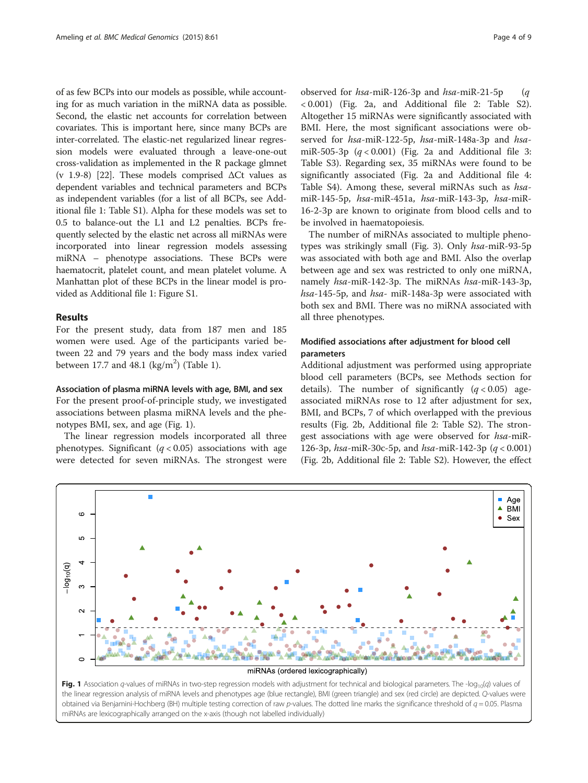of as few BCPs into our models as possible, while accounting for as much variation in the miRNA data as possible. Second, the elastic net accounts for correlation between covariates. This is important here, since many BCPs are inter-correlated. The elastic-net regularized linear regression models were evaluated through a leave-one-out cross-validation as implemented in the R package glmnet (v 1.9-8) [[22\]](#page-8-0). These models comprised  $\Delta$ Ct values as dependent variables and technical parameters and BCPs as independent variables (for a list of all BCPs, see Additional file [1](#page-7-0): Table S1). Alpha for these models was set to 0.5 to balance-out the L1 and L2 penalties. BCPs frequently selected by the elastic net across all miRNAs were incorporated into linear regression models assessing miRNA – phenotype associations. These BCPs were haematocrit, platelet count, and mean platelet volume. A Manhattan plot of these BCPs in the linear model is provided as Additional file [1:](#page-7-0) Figure S1.

## Results

For the present study, data from 187 men and 185 women were used. Age of the participants varied between 22 and 79 years and the body mass index varied between  $17.7$  and  $48.1$  (kg/m<sup>2</sup>) (Table [1](#page-1-0)).

#### Association of plasma miRNA levels with age, BMI, and sex

For the present proof-of-principle study, we investigated associations between plasma miRNA levels and the phenotypes BMI, sex, and age (Fig. 1).

The linear regression models incorporated all three phenotypes. Significant  $(q < 0.05)$  associations with age were detected for seven miRNAs. The strongest were

observed for  $hsa$ -miR-126-3p and  $hsa$ -miR-21-5p (q < 0.001) (Fig. [2a](#page-5-0), and Additional file [2:](#page-7-0) Table S2). Altogether 15 miRNAs were significantly associated with BMI. Here, the most significant associations were observed for hsa-miR-122-5p, hsa-miR-148a-3p and hsamiR-505-3p  $(q < 0.001)$  (Fig. [2a](#page-5-0) and Additional file [3](#page-7-0): Table S3). Regarding sex, 35 miRNAs were found to be significantly associated (Fig. [2a](#page-5-0) and Additional file [4](#page-7-0): Table S4). Among these, several miRNAs such as hsamiR-145-5p, hsa-miR-451a, hsa-miR-143-3p, hsa-miR-16-2-3p are known to originate from blood cells and to be involved in haematopoiesis.

The number of miRNAs associated to multiple phenotypes was strikingly small (Fig. [3\)](#page-5-0). Only hsa-miR-93-5p was associated with both age and BMI. Also the overlap between age and sex was restricted to only one miRNA, namely hsa-miR-142-3p. The miRNAs hsa-miR-143-3p, hsa-145-5p, and hsa- miR-148a-3p were associated with both sex and BMI. There was no miRNA associated with all three phenotypes.

## Modified associations after adjustment for blood cell parameters

Additional adjustment was performed using appropriate blood cell parameters (BCPs, see Methods section for details). The number of significantly  $(q < 0.05)$  ageassociated miRNAs rose to 12 after adjustment for sex, BMI, and BCPs, 7 of which overlapped with the previous results (Fig. [2b](#page-5-0), Additional file [2](#page-7-0): Table S2). The strongest associations with age were observed for hsa-miR-126-3p,  $hsa$ -miR-30c-5p, and  $hsa$ -miR-142-3p ( $q < 0.001$ ) (Fig. [2b,](#page-5-0) Additional file [2:](#page-7-0) Table S2). However, the effect



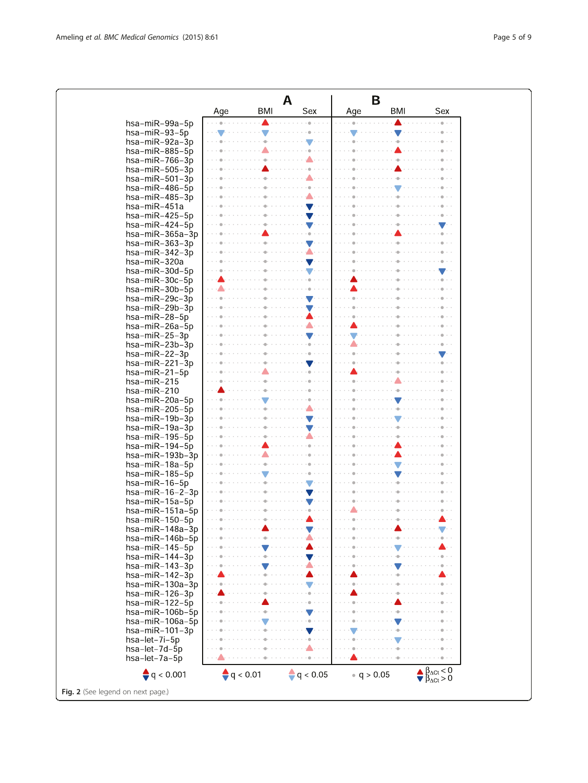|                                          |                                | A          |                                      | B            |                                 |                                                                                                                      |
|------------------------------------------|--------------------------------|------------|--------------------------------------|--------------|---------------------------------|----------------------------------------------------------------------------------------------------------------------|
|                                          | Age                            | <b>BMI</b> | Sex                                  | Age          | BMI                             | Sex                                                                                                                  |
| hsa-miR-99a-5p                           |                                |            |                                      |              |                                 |                                                                                                                      |
| hsa-miR-93-5p                            |                                |            |                                      |              |                                 |                                                                                                                      |
| hsa-miR-92a-3p                           |                                |            |                                      |              |                                 |                                                                                                                      |
| hsa-miR-885-5p<br>hsa-miR-766-3p         |                                |            |                                      |              |                                 |                                                                                                                      |
| $hsa$ -mi $R$ -505-3p                    |                                |            |                                      |              |                                 |                                                                                                                      |
| $hsa$ -mi $R$ -501-3p                    |                                |            |                                      |              |                                 |                                                                                                                      |
| hsa-miR-486-5p                           |                                |            |                                      |              |                                 |                                                                                                                      |
| hsa-mi $R-485-3p$                        |                                |            |                                      |              |                                 |                                                                                                                      |
| hsa-miR-451a                             |                                |            |                                      |              |                                 |                                                                                                                      |
| hsa-miR-425-5p                           |                                |            |                                      |              |                                 |                                                                                                                      |
| $hsa$ -mi $R$ -424-5p                    |                                |            |                                      |              |                                 |                                                                                                                      |
| $hsa$ -mi $R$ -365a-3p                   |                                |            |                                      |              |                                 |                                                                                                                      |
| $hsa$ -mi $R$ -363-3p                    |                                |            |                                      |              |                                 |                                                                                                                      |
| $hsa$ -mi $R$ -342-3p<br>hsa-miR-320a    |                                |            |                                      |              |                                 |                                                                                                                      |
| hsa-miR-30d-5p                           |                                |            |                                      |              |                                 |                                                                                                                      |
| hsa-miR-30c-5p                           |                                |            |                                      |              |                                 |                                                                                                                      |
| hsa-miR-30b-5p                           |                                |            |                                      |              |                                 |                                                                                                                      |
| hsa-miR-29c-3p                           |                                |            |                                      |              |                                 |                                                                                                                      |
| hsa-miR-29b-3p                           |                                |            |                                      |              |                                 |                                                                                                                      |
| hsa-miR-28-5p                            |                                |            |                                      |              |                                 |                                                                                                                      |
| hsa-miR-26a-5p                           |                                |            |                                      |              |                                 |                                                                                                                      |
| hsa-miR-25-3p                            |                                |            |                                      |              |                                 |                                                                                                                      |
| hsa-miR-23b-3p                           |                                |            |                                      |              |                                 |                                                                                                                      |
| hsa-miR-22-3p                            |                                |            |                                      |              |                                 |                                                                                                                      |
| $hsa$ -mi $R$ -221-3p                    |                                |            |                                      |              |                                 |                                                                                                                      |
| hsa-miR-21-5p                            |                                |            |                                      |              |                                 |                                                                                                                      |
| $hsa$ –mi $R$ –215<br>hsa-miR-210        |                                |            |                                      |              |                                 |                                                                                                                      |
| hsa-miR-20a-5p                           |                                |            |                                      |              |                                 |                                                                                                                      |
| hsa-miR-205-5p                           |                                |            |                                      |              |                                 |                                                                                                                      |
| hsa-miR-19b-3p                           |                                |            |                                      |              |                                 |                                                                                                                      |
| hsa-miR-19a-3p                           |                                |            |                                      |              |                                 |                                                                                                                      |
| hsa-miR-195-5p                           |                                |            |                                      |              |                                 |                                                                                                                      |
| $hsa$ -mi $R$ -194-5p                    |                                |            |                                      |              |                                 |                                                                                                                      |
| hsa-miR-193b-3p                          |                                |            |                                      |              |                                 |                                                                                                                      |
| hsa-miR-18a-5p                           |                                |            |                                      |              |                                 |                                                                                                                      |
| hsa-miR-185-5p                           |                                |            |                                      |              |                                 |                                                                                                                      |
| hsa-miR-16-5p                            |                                |            |                                      |              |                                 |                                                                                                                      |
| hsa-miR-16-2-3p                          |                                |            |                                      |              |                                 |                                                                                                                      |
| $hsa$ -mi $R$ -15a-5p<br>hsa-miR-151a-5p |                                |            |                                      |              |                                 |                                                                                                                      |
| hsa-miR-150-5p                           |                                |            |                                      |              |                                 |                                                                                                                      |
| hsa-miR-148a-3p                          |                                |            |                                      |              |                                 |                                                                                                                      |
| $hsa$ -mi $R$ -146b-5p                   |                                |            |                                      |              |                                 |                                                                                                                      |
| hsa-miR-145-5p                           |                                |            |                                      |              |                                 |                                                                                                                      |
| $hsa$ -mi $R$ -144-3p                    |                                |            |                                      |              |                                 |                                                                                                                      |
| $hsa$ -mi $R$ -143-3p                    |                                |            | $\cdots$ . The set of $\mathbb{R}^n$ |              |                                 |                                                                                                                      |
| hsa-miR-142-3p                           |                                |            |                                      |              |                                 |                                                                                                                      |
| hsa-miR-130a-3p                          |                                |            |                                      |              |                                 |                                                                                                                      |
| $hsa$ -mi $R$ -126-3p                    |                                |            |                                      |              |                                 |                                                                                                                      |
| hsa-miR-122-5p                           |                                |            |                                      |              |                                 |                                                                                                                      |
| $hsa$ -mi $R$ -106b-5p                   |                                |            | $\cdots$<br>$\cdots$                 |              |                                 |                                                                                                                      |
| hsa-miR-106a-5p                          |                                |            | $\circ$ .                            |              |                                 |                                                                                                                      |
| hsa-mi $R-101-3p$                        |                                |            |                                      |              |                                 |                                                                                                                      |
| hsa-let-7i-5p<br>hsa-let-7d-5p           |                                |            | <b>Northern</b>                      | .            |                                 |                                                                                                                      |
| hsa-let-7a-5p                            |                                |            | distances in the control             |              | and a series and opportunities. |                                                                                                                      |
|                                          |                                |            |                                      |              |                                 |                                                                                                                      |
| $\bigcirc$ q < 0.001                     | $\blacktriangleright$ q < 0.01 |            | $\frac{1}{2}$ q < 0.05               | • $q > 0.05$ |                                 | $\begin{array}{c}\n\blacktriangle \beta_{\text{AC}t} < 0 \\ \blacktriangleright \beta_{\text{AC}t} > 0\n\end{array}$ |
| Fig. 2 (See legend on next page.)        |                                |            |                                      |              |                                 |                                                                                                                      |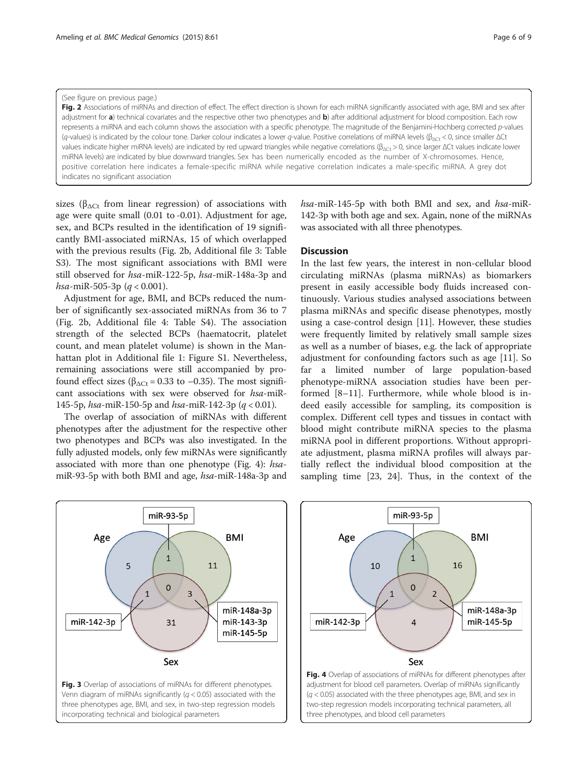#### <span id="page-5-0"></span>(See figure on previous page.)

Fig. 2 Associations of miRNAs and direction of effect. The effect direction is shown for each miRNA significantly associated with age, BMI and sex after adjustment for a) technical covariates and the respective other two phenotypes and b) after additional adjustment for blood composition. Each row represents a miRNA and each column shows the association with a specific phenotype. The magnitude of the Benjamini-Hochberg corrected p-values (q-values) is indicated by the colour tone. Darker colour indicates a lower q-value. Positive correlations of miRNA levels ( $\beta_{\Delta CL}$  < 0, since smaller  $\Delta Ct$ values indicate higher miRNA levels) are indicated by red upward triangles while negative correlations ( $β<sub>ACT</sub> > 0$ , since larger ΔCt values indicate lower miRNA levels) are indicated by blue downward triangles. Sex has been numerically encoded as the number of X-chromosomes. Hence, positive correlation here indicates a female-specific miRNA while negative correlation indicates a male-specific miRNA. A grey dot indicates no significant association

sizes ( $\beta_{\Delta Ct}$  from linear regression) of associations with age were quite small (0.01 to -0.01). Adjustment for age, sex, and BCPs resulted in the identification of 19 significantly BMI-associated miRNAs, 15 of which overlapped with the previous results (Fig. 2b, Additional file [3](#page-7-0): Table S3). The most significant associations with BMI were still observed for hsa-miR-122-5p, hsa-miR-148a-3p and *hsa-miR-505-3p (q < 0.001).* 

Adjustment for age, BMI, and BCPs reduced the number of significantly sex-associated miRNAs from 36 to 7 (Fig. 2b, Additional file [4:](#page-7-0) Table S4). The association strength of the selected BCPs (haematocrit, platelet count, and mean platelet volume) is shown in the Manhattan plot in Additional file [1](#page-7-0): Figure S1. Nevertheless, remaining associations were still accompanied by profound effect sizes ( $β<sub>ACt</sub> = 0.33$  to -0.35). The most significant associations with sex were observed for hsa-miR-145-5p, hsa-miR-150-5p and hsa-miR-142-3p (q < 0.01).

The overlap of association of miRNAs with different phenotypes after the adjustment for the respective other two phenotypes and BCPs was also investigated. In the fully adjusted models, only few miRNAs were significantly associated with more than one phenotype (Fig. 4): hsamiR-93-5p with both BMI and age, hsa-miR-148a-3p and

hsa-miR-145-5p with both BMI and sex, and hsa-miR-142-3p with both age and sex. Again, none of the miRNAs was associated with all three phenotypes.

## **Discussion**

In the last few years, the interest in non-cellular blood circulating miRNAs (plasma miRNAs) as biomarkers present in easily accessible body fluids increased continuously. Various studies analysed associations between plasma miRNAs and specific disease phenotypes, mostly using a case-control design [\[11\]](#page-7-0). However, these studies were frequently limited by relatively small sample sizes as well as a number of biases, e.g. the lack of appropriate adjustment for confounding factors such as age [[11\]](#page-7-0). So far a limited number of large population-based phenotype-miRNA association studies have been performed [\[8](#page-7-0)–[11\]](#page-7-0). Furthermore, while whole blood is indeed easily accessible for sampling, its composition is complex. Different cell types and tissues in contact with blood might contribute miRNA species to the plasma miRNA pool in different proportions. Without appropriate adjustment, plasma miRNA profiles will always partially reflect the individual blood composition at the sampling time [[23, 24](#page-8-0)]. Thus, in the context of the





three phenotypes, and blood cell parameters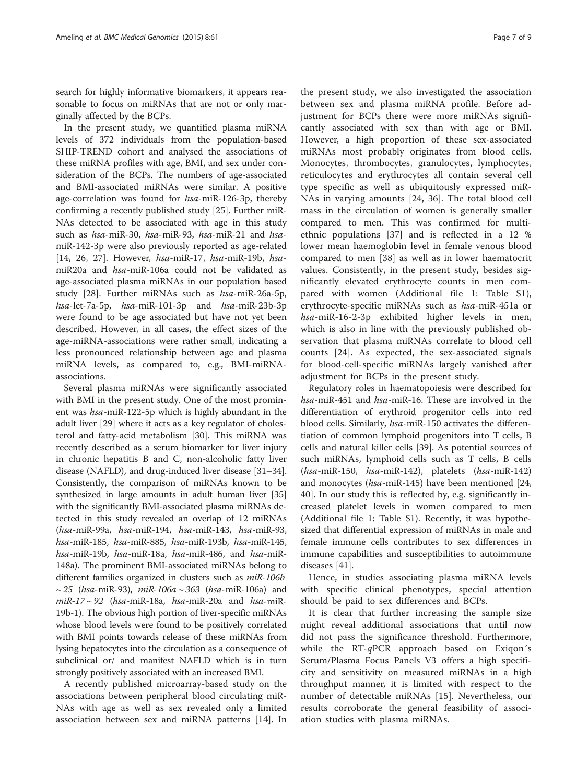search for highly informative biomarkers, it appears reasonable to focus on miRNAs that are not or only marginally affected by the BCPs.

In the present study, we quantified plasma miRNA levels of 372 individuals from the population-based SHIP-TREND cohort and analysed the associations of these miRNA profiles with age, BMI, and sex under consideration of the BCPs. The numbers of age-associated and BMI-associated miRNAs were similar. A positive age-correlation was found for hsa-miR-126-3p, thereby confirming a recently published study [\[25](#page-8-0)]. Further miR-NAs detected to be associated with age in this study such as hsa-miR-30, hsa-miR-93, hsa-miR-21 and hsamiR-142-3p were also previously reported as age-related [[14,](#page-7-0) [26, 27](#page-8-0)]. However, hsa-miR-17, hsa-miR-19b, hsamiR20a and hsa-miR-106a could not be validated as age-associated plasma miRNAs in our population based study [\[28](#page-8-0)]. Further miRNAs such as hsa-miR-26a-5p, hsa-let-7a-5p, hsa-miR-101-3p and hsa-miR-23b-3p were found to be age associated but have not yet been described. However, in all cases, the effect sizes of the age-miRNA-associations were rather small, indicating a less pronounced relationship between age and plasma miRNA levels, as compared to, e.g., BMI-miRNAassociations.

Several plasma miRNAs were significantly associated with BMI in the present study. One of the most prominent was hsa-miR-122-5p which is highly abundant in the adult liver [\[29\]](#page-8-0) where it acts as a key regulator of cholesterol and fatty-acid metabolism [\[30](#page-8-0)]. This miRNA was recently described as a serum biomarker for liver injury in chronic hepatitis B and C, non-alcoholic fatty liver disease (NAFLD), and drug-induced liver disease [\[31](#page-8-0)–[34](#page-8-0)]. Consistently, the comparison of miRNAs known to be synthesized in large amounts in adult human liver [[35](#page-8-0)] with the significantly BMI-associated plasma miRNAs detected in this study revealed an overlap of 12 miRNAs (hsa-miR-99a, hsa-miR-194, hsa-miR-143, hsa-miR-93, hsa-miR-185, hsa-miR-885, hsa-miR-193b, hsa-miR-145, hsa-miR-19b, hsa-miR-18a, hsa-miR-486, and hsa-miR-148a). The prominent BMI-associated miRNAs belong to different families organized in clusters such as *miR-106b*  $\sim$  25 (hsa-miR-93), miR-106a  $\sim$  363 (hsa-miR-106a) and  $miR-17 \sim 92$  (hsa-miR-18a, hsa-miR-20a and hsa-miR-19b-1). The obvious high portion of liver-specific miRNAs whose blood levels were found to be positively correlated with BMI points towards release of these miRNAs from lysing hepatocytes into the circulation as a consequence of subclinical or/ and manifest NAFLD which is in turn strongly positively associated with an increased BMI.

A recently published microarray-based study on the associations between peripheral blood circulating miR-NAs with age as well as sex revealed only a limited association between sex and miRNA patterns [[14\]](#page-7-0). In

the present study, we also investigated the association between sex and plasma miRNA profile. Before adjustment for BCPs there were more miRNAs significantly associated with sex than with age or BMI. However, a high proportion of these sex-associated miRNAs most probably originates from blood cells. Monocytes, thrombocytes, granulocytes, lymphocytes, reticulocytes and erythrocytes all contain several cell type specific as well as ubiquitously expressed miR-NAs in varying amounts [\[24](#page-8-0), [36\]](#page-8-0). The total blood cell mass in the circulation of women is generally smaller compared to men. This was confirmed for multiethnic populations [[37\]](#page-8-0) and is reflected in a 12 % lower mean haemoglobin level in female venous blood compared to men [[38\]](#page-8-0) as well as in lower haematocrit values. Consistently, in the present study, besides significantly elevated erythrocyte counts in men compared with women (Additional file [1](#page-7-0): Table S1), erythrocyte-specific miRNAs such as hsa-miR-451a or hsa-miR-16-2-3p exhibited higher levels in men, which is also in line with the previously published observation that plasma miRNAs correlate to blood cell counts [[24\]](#page-8-0). As expected, the sex-associated signals for blood-cell-specific miRNAs largely vanished after adjustment for BCPs in the present study.

Regulatory roles in haematopoiesis were described for hsa-miR-451 and hsa-miR-16. These are involved in the differentiation of erythroid progenitor cells into red blood cells. Similarly, hsa-miR-150 activates the differentiation of common lymphoid progenitors into T cells, B cells and natural killer cells [[39\]](#page-8-0). As potential sources of such miRNAs, lymphoid cells such as T cells, B cells (hsa-miR-150, hsa-miR-142), platelets (hsa-miR-142) and monocytes (hsa-miR-145) have been mentioned [[24](#page-8-0), [40\]](#page-8-0). In our study this is reflected by, e.g. significantly increased platelet levels in women compared to men (Additional file [1](#page-7-0): Table S1). Recently, it was hypothesized that differential expression of miRNAs in male and female immune cells contributes to sex differences in immune capabilities and susceptibilities to autoimmune diseases [\[41](#page-8-0)].

Hence, in studies associating plasma miRNA levels with specific clinical phenotypes, special attention should be paid to sex differences and BCPs.

It is clear that further increasing the sample size might reveal additional associations that until now did not pass the significance threshold. Furthermore, while the  $RT-qPCR$  approach based on Exiqon's Serum/Plasma Focus Panels V3 offers a high specificity and sensitivity on measured miRNAs in a high throughput manner, it is limited with respect to the number of detectable miRNAs [\[15](#page-7-0)]. Nevertheless, our results corroborate the general feasibility of association studies with plasma miRNAs.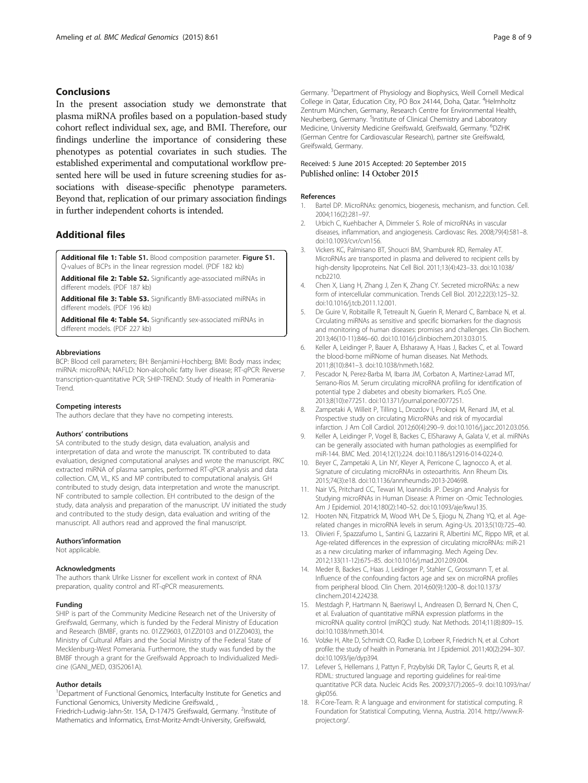## <span id="page-7-0"></span>Conclusions

In the present association study we demonstrate that plasma miRNA profiles based on a population-based study cohort reflect individual sex, age, and BMI. Therefore, our findings underline the importance of considering these phenotypes as potential covariates in such studies. The established experimental and computational workflow presented here will be used in future screening studies for associations with disease-specific phenotype parameters. Beyond that, replication of our primary association findings in further independent cohorts is intended.

## Additional files

[Additional file 1:](http://www.biomedcentral.com/content/supplementary/s12920-015-0136-7-s1.pdf) Table S1. Blood composition parameter. Figure S1. Q-values of BCPs in the linear regression model. (PDF 182 kb)

[Additional file 2: Table S2.](http://www.biomedcentral.com/content/supplementary/s12920-015-0136-7-s2.pdf) Significantly age-associated miRNAs in different models. (PDF 187 kb)

[Additional file 3: Table S3.](http://www.biomedcentral.com/content/supplementary/s12920-015-0136-7-s3.pdf) Significantly BMI-associated miRNAs in different models. (PDF 196 kb)

[Additional file 4: Table S4.](http://www.biomedcentral.com/content/supplementary/s12920-015-0136-7-s4.pdf) Significantly sex-associated miRNAs in different models. (PDF 227 kb)

#### Abbreviations

BCP: Blood cell parameters; BH: Benjamini-Hochberg; BMI: Body mass index; miRNA: microRNA; NAFLD: Non-alcoholic fatty liver disease; RT-qPCR: Reverse transcription-quantitative PCR; SHIP-TREND: Study of Health in Pomerania-Trend.

#### Competing interests

The authors declare that they have no competing interests.

#### Authors' contributions

SA contributed to the study design, data evaluation, analysis and interpretation of data and wrote the manuscript. TK contributed to data evaluation, designed computational analyses and wrote the manuscript. RKC extracted miRNA of plasma samples, performed RT-qPCR analysis and data collection. CM, VL, KS and MP contributed to computational analysis. GH contributed to study design, data interpretation and wrote the manuscript. NF contributed to sample collection. EH contributed to the design of the study, data analysis and preparation of the manuscript. UV initiated the study and contributed to the study design, data evaluation and writing of the manuscript. All authors read and approved the final manuscript.

#### Authors'information

Not applicable.

#### Acknowledgments

The authors thank Ulrike Lissner for excellent work in context of RNA preparation, quality control and RT-qPCR measurements.

#### Funding

SHIP is part of the Community Medicine Research net of the University of Greifswald, Germany, which is funded by the Federal Ministry of Education and Research (BMBF, grants no. 01ZZ9603, 01ZZ0103 and 01ZZ0403), the Ministry of Cultural Affairs and the Social Ministry of the Federal State of Mecklenburg-West Pomerania. Furthermore, the study was funded by the BMBF through a grant for the Greifswald Approach to Individualized Medicine (GANI\_MED, 03IS2061A).

#### Author details

<sup>1</sup>Department of Functional Genomics, Interfaculty Institute for Genetics and Functional Genomics, University Medicine Greifswald, ,

Friedrich-Ludwig-Jahn-Str. 15A, D-17475 Greifswald, Germany. <sup>2</sup>Institute of Mathematics and Informatics, Ernst-Moritz-Arndt-University, Greifswald,

Germany. <sup>3</sup>Department of Physiology and Biophysics, Weill Cornell Medical College in Qatar, Education City, PO Box 24144, Doha, Qatar. <sup>4</sup>Helmholtz Zentrum München, Germany, Research Centre for Environmental Health, Neuherberg, Germany. <sup>5</sup>Institute of Clinical Chemistry and Laboratory Medicine, University Medicine Greifswald, Greifswald, Germany. <sup>6</sup>DZHK (German Centre for Cardiovascular Research), partner site Greifswald, Greifswald, Germany.

# Received: 5 June 2015 Accepted: 20 September 2015<br>Published online: 14 October 2015

#### References

- 1. Bartel DP. MicroRNAs: genomics, biogenesis, mechanism, and function. Cell. 2004;116(2):281–97.
- 2. Urbich C, Kuehbacher A, Dimmeler S. Role of microRNAs in vascular diseases, inflammation, and angiogenesis. Cardiovasc Res. 2008;79(4):581–8. doi[:10.1093/cvr/cvn156](http://dx.doi.org/10.1093/cvr/cvn156).
- 3. Vickers KC, Palmisano BT, Shoucri BM, Shamburek RD, Remaley AT. MicroRNAs are transported in plasma and delivered to recipient cells by high-density lipoproteins. Nat Cell Biol. 2011;13(4):423–33. doi:[10.1038/](http://dx.doi.org/10.1038/ncb2210) [ncb2210](http://dx.doi.org/10.1038/ncb2210).
- 4. Chen X, Liang H, Zhang J, Zen K, Zhang CY. Secreted microRNAs: a new form of intercellular communication. Trends Cell Biol. 2012;22(3):125–32. doi[:10.1016/j.tcb.2011.12.001](http://dx.doi.org/10.1016/j.tcb.2011.12.001).
- 5. De Guire V, Robitaille R, Tetreault N, Guerin R, Menard C, Bambace N, et al. Circulating miRNAs as sensitive and specific biomarkers for the diagnosis and monitoring of human diseases: promises and challenges. Clin Biochem. 2013;46(10-11):846–60. doi[:10.1016/j.clinbiochem.2013.03.015](http://dx.doi.org/10.1016/j.clinbiochem.2013.03.015).
- 6. Keller A, Leidinger P, Bauer A, Elsharawy A, Haas J, Backes C, et al. Toward the blood-borne miRNome of human diseases. Nat Methods. 2011;8(10):841–3. doi:[10.1038/nmeth.1682](http://dx.doi.org/10.1038/nmeth.1682).
- 7. Pescador N, Perez-Barba M, Ibarra JM, Corbaton A, Martinez-Larrad MT, Serrano-Rios M. Serum circulating microRNA profiling for identification of potential type 2 diabetes and obesity biomarkers. PLoS One. 2013;8(10):e77251. doi:[10.1371/journal.pone.0077251.](http://dx.doi.org/10.1371/journal.pone.0077251)
- 8. Zampetaki A, Willeit P, Tilling L, Drozdov I, Prokopi M, Renard JM, et al. Prospective study on circulating MicroRNAs and risk of myocardial infarction. J Am Coll Cardiol. 2012;60(4):290–9. doi[:10.1016/j.jacc.2012.03.056](http://dx.doi.org/10.1016/j.jacc.2012.03.056).
- 9. Keller A, Leidinger P, Vogel B, Backes C, ElSharawy A, Galata V, et al. miRNAs can be generally associated with human pathologies as exemplified for miR-144. BMC Med. 2014;12(1):224. doi[:10.1186/s12916-014-0224-0.](http://dx.doi.org/10.1186/s12916-014-0224-0)
- 10. Beyer C, Zampetaki A, Lin NY, Kleyer A, Perricone C, Iagnocco A, et al. Signature of circulating microRNAs in osteoarthritis. Ann Rheum Dis. 2015;74(3):e18. doi:[10.1136/annrheumdis-2013-204698](http://dx.doi.org/10.1136/annrheumdis-2013-204698).
- 11. Nair VS, Pritchard CC, Tewari M, Ioannidis JP. Design and Analysis for Studying microRNAs in Human Disease: A Primer on -Omic Technologies. Am J Epidemiol. 2014;180(2):140–52. doi:[10.1093/aje/kwu135](http://dx.doi.org/10.1093/aje/kwu135).
- 12. Hooten NN, Fitzpatrick M, Wood WH, De S, Ejiogu N, Zhang YQ, et al. Agerelated changes in microRNA levels in serum. Aging-Us. 2013;5(10):725–40.
- 13. Olivieri F, Spazzafumo L, Santini G, Lazzarini R, Albertini MC, Rippo MR, et al. Age-related differences in the expression of circulating microRNAs: miR-21 as a new circulating marker of inflammaging. Mech Ageing Dev. 2012;133(11-12):675–85. doi:[10.1016/j.mad.2012.09.004.](http://dx.doi.org/10.1016/j.mad.2012.09.004)
- 14. Meder B, Backes C, Haas J, Leidinger P, Stahler C, Grossmann T, et al. Influence of the confounding factors age and sex on microRNA profiles from peripheral blood. Clin Chem. 2014;60(9):1200–8. doi:[10.1373/](http://dx.doi.org/10.1373/clinchem.2014.224238) [clinchem.2014.224238](http://dx.doi.org/10.1373/clinchem.2014.224238).
- 15. Mestdagh P, Hartmann N, Baeriswyl L, Andreasen D, Bernard N, Chen C, et al. Evaluation of quantitative miRNA expression platforms in the microRNA quality control (miRQC) study. Nat Methods. 2014;11(8):809–15. doi[:10.1038/nmeth.3014.](http://dx.doi.org/10.1038/nmeth.3014)
- 16. Volzke H, Alte D, Schmidt CO, Radke D, Lorbeer R, Friedrich N, et al. Cohort profile: the study of health in Pomerania. Int J Epidemiol. 2011;40(2):294–307. doi:[10.1093/ije/dyp394](http://dx.doi.org/10.1093/ije/dyp394).
- 17. Lefever S, Hellemans J, Pattyn F, Przybylski DR, Taylor C, Geurts R, et al. RDML: structured language and reporting guidelines for real-time quantitative PCR data. Nucleic Acids Res. 2009;37(7):2065–9. doi[:10.1093/nar/](http://dx.doi.org/10.1093/nar/gkp056) [gkp056.](http://dx.doi.org/10.1093/nar/gkp056)
- 18. R-Core-Team. R: A language and environment for statistical computing. R Foundation for Statistical Computing, Vienna, Austria. 2014. [http://www.R](http://www.r-project.org/)[project.org/.](http://www.r-project.org/)